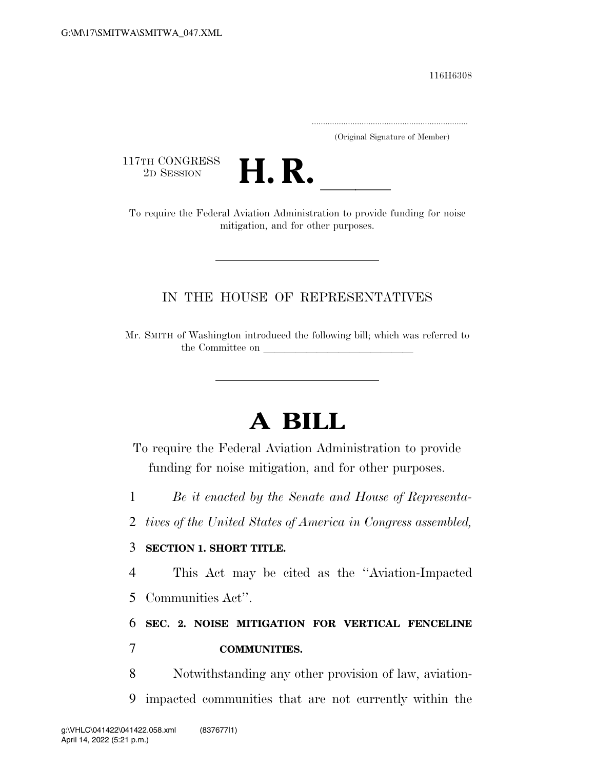116H6308

.....................................................................

(Original Signature of Member)

117TH CONGRESS<br>2D SESSION



17TH CONGRESS<br>
2D SESSION<br>
To require the Federal Aviation Administration to provide funding for noise mitigation, and for other purposes.

## IN THE HOUSE OF REPRESENTATIVES

Mr. SMITH of Washington introduced the following bill; which was referred to the Committee on

# **A BILL**

To require the Federal Aviation Administration to provide funding for noise mitigation, and for other purposes.

1 *Be it enacted by the Senate and House of Representa-*

2 *tives of the United States of America in Congress assembled,* 

### 3 **SECTION 1. SHORT TITLE.**

4 This Act may be cited as the ''Aviation-Impacted

5 Communities Act''.

# 6 **SEC. 2. NOISE MITIGATION FOR VERTICAL FENCELINE**  7 **COMMUNITIES.**

8 Notwithstanding any other provision of law, aviation-9 impacted communities that are not currently within the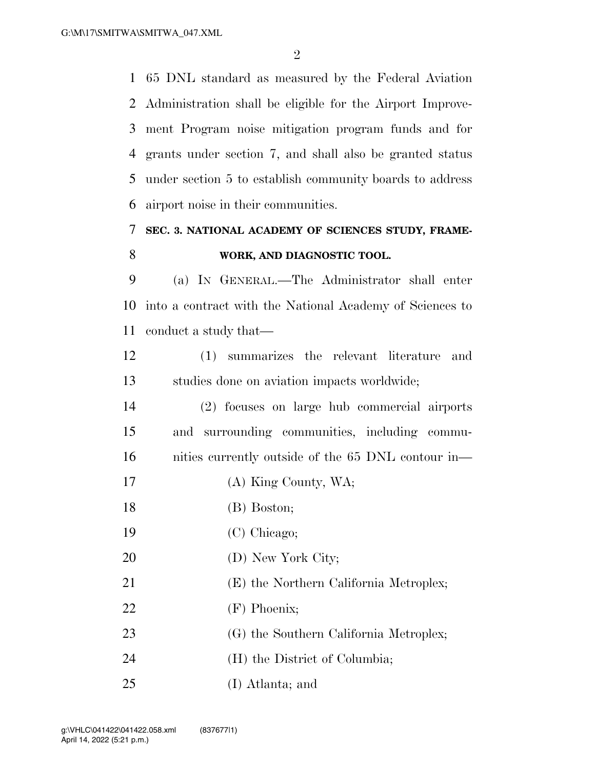65 DNL standard as measured by the Federal Aviation Administration shall be eligible for the Airport Improve- ment Program noise mitigation program funds and for grants under section 7, and shall also be granted status under section 5 to establish community boards to address airport noise in their communities.

# **SEC. 3. NATIONAL ACADEMY OF SCIENCES STUDY, FRAME-WORK, AND DIAGNOSTIC TOOL.**

 (a) IN GENERAL.—The Administrator shall enter into a contract with the National Academy of Sciences to conduct a study that—

 (1) summarizes the relevant literature and studies done on aviation impacts worldwide;

 (2) focuses on large hub commercial airports and surrounding communities, including commu-nities currently outside of the 65 DNL contour in—

- (A) King County, WA;
- (B) Boston;
- (C) Chicago;
- 20 (D) New York City;
- (E) the Northern California Metroplex;
- (F) Phoenix;
- (G) the Southern California Metroplex;
- (H) the District of Columbia;
- (I) Atlanta; and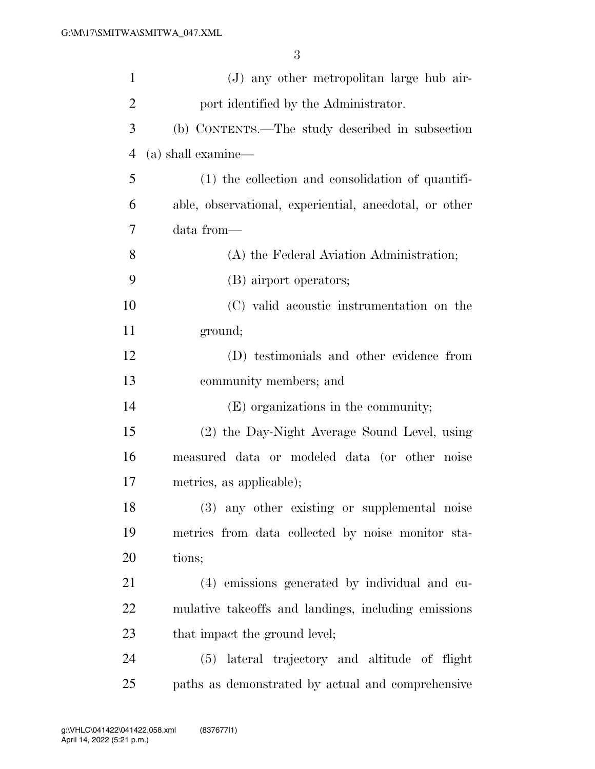| $\mathbf{1}$   | (J) any other metropolitan large hub air-              |
|----------------|--------------------------------------------------------|
| $\overline{2}$ | port identified by the Administrator.                  |
| 3              | (b) CONTENTS.—The study described in subsection        |
| 4              | (a) shall examine—                                     |
| 5              | $(1)$ the collection and consolidation of quantifi-    |
| 6              | able, observational, experiential, anecdotal, or other |
| 7              | data from—                                             |
| 8              | (A) the Federal Aviation Administration;               |
| 9              | (B) airport operators;                                 |
| 10             | (C) valid acoustic instrumentation on the              |
| 11             | ground;                                                |
| 12             | (D) testimonials and other evidence from               |
| 13             | community members; and                                 |
| 14             | (E) organizations in the community;                    |
| 15             | (2) the Day-Night Average Sound Level, using           |
| 16             | measured data or modeled data (or other noise          |
| 17             | metrics, as applicable);                               |
| 18             | (3) any other existing or supplemental noise           |
| 19             | metrics from data collected by noise monitor sta-      |
| 20             | tions;                                                 |
| 21             | (4) emissions generated by individual and cu-          |
| 22             | mulative takeoffs and landings, including emissions    |
| 23             | that impact the ground level;                          |
| 24             | lateral trajectory and altitude of flight<br>(5)       |
| 25             | paths as demonstrated by actual and comprehensive      |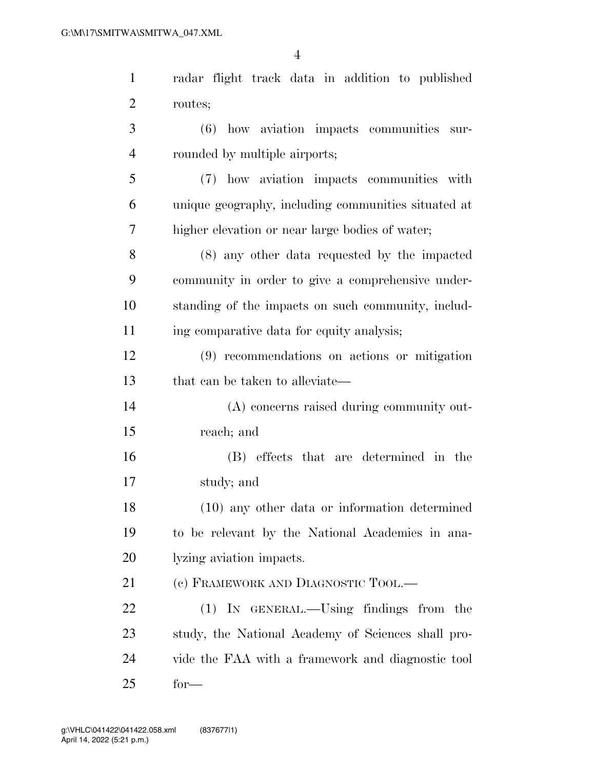| $\mathbf{1}$   | radar flight track data in addition to published    |
|----------------|-----------------------------------------------------|
| $\overline{2}$ | routes;                                             |
| 3              | (6) how aviation impacts communities sur-           |
| 4              | rounded by multiple airports;                       |
| 5              | (7) how aviation impacts communities with           |
| 6              | unique geography, including communities situated at |
| 7              | higher elevation or near large bodies of water;     |
| 8              | (8) any other data requested by the impacted        |
| 9              | community in order to give a comprehensive under-   |
| 10             | standing of the impacts on such community, includ-  |
| 11             | ing comparative data for equity analysis;           |
| 12             | (9) recommendations on actions or mitigation        |
| 13             | that can be taken to alleviate—                     |
| 14             | (A) concerns raised during community out-           |
| 15             | reach; and                                          |
| 16             | (B) effects that are determined in the              |
| 17             | study; and                                          |
| 18             | (10) any other data or information determined       |
| 19             | to be relevant by the National Academies in ana-    |
| <b>20</b>      | lyzing aviation impacts.                            |
| 21             | (c) FRAMEWORK AND DIAGNOSTIC TOOL.—                 |
| 22             | (1) IN GENERAL.—Using findings from the             |
| 23             | study, the National Academy of Sciences shall pro-  |
| 24             | vide the FAA with a framework and diagnostic tool   |
| 25             | $for-$                                              |
|                |                                                     |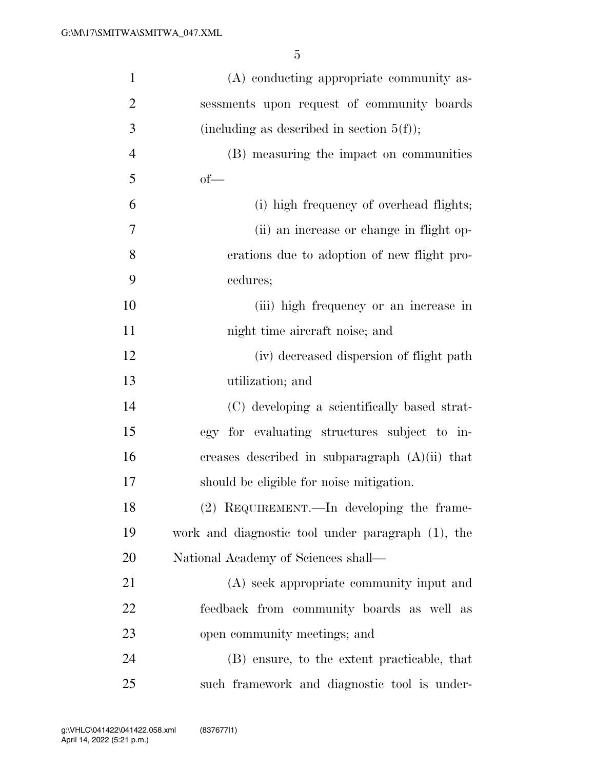| $\mathbf{1}$   | (A) conducting appropriate community as-          |
|----------------|---------------------------------------------------|
| $\overline{2}$ | sessments upon request of community boards        |
| 3              | (including as described in section $5(f)$ );      |
| $\overline{4}$ | (B) measuring the impact on communities           |
| 5              | $of$ —                                            |
| 6              | (i) high frequency of overhead flights;           |
| 7              | (ii) an increase or change in flight op-          |
| 8              | erations due to adoption of new flight pro-       |
| 9              | cedures;                                          |
| 10             | (iii) high frequency or an increase in            |
| 11             | night time aircraft noise; and                    |
| 12             | (iv) decreased dispersion of flight path          |
| 13             | utilization; and                                  |
| 14             | (C) developing a scientifically based strat-      |
| 15             | egy for evaluating structures subject to in-      |
| 16             | creases described in subparagraph $(A)(ii)$ that  |
| 17             | should be eligible for noise mitigation.          |
| 18             | (2) REQUIREMENT.—In developing the frame-         |
| 19             | work and diagnostic tool under paragraph (1), the |
| 20             | National Academy of Sciences shall—               |
| 21             | (A) seek appropriate community input and          |
| 22             | feedback from community boards as well as         |
| 23             | open community meetings; and                      |
| 24             | (B) ensure, to the extent practicable, that       |
| 25             | such framework and diagnostic tool is under-      |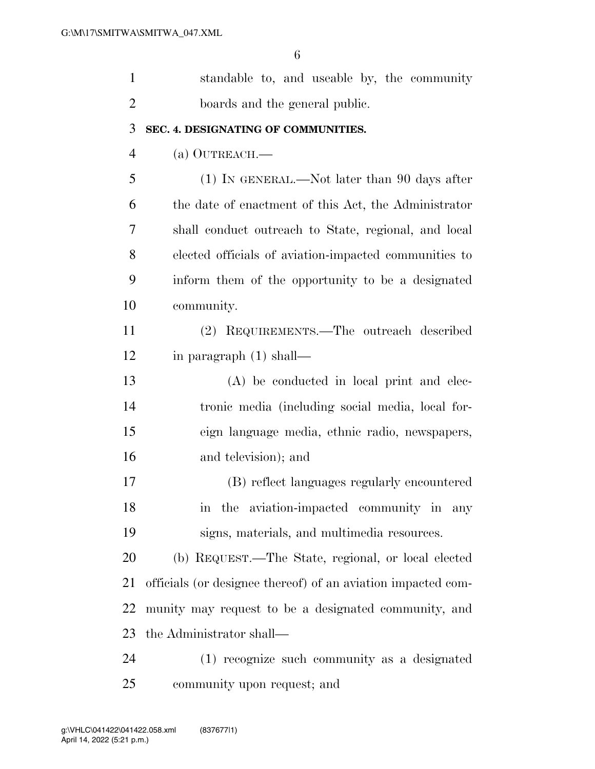| $\mathbf{1}$   | standable to, and useable by, the community                  |
|----------------|--------------------------------------------------------------|
| $\overline{2}$ | boards and the general public.                               |
| 3              | SEC. 4. DESIGNATING OF COMMUNITIES.                          |
| $\overline{4}$ | (a) OUTREACH.—                                               |
| 5              | (1) IN GENERAL.—Not later than 90 days after                 |
| 6              | the date of enactment of this Act, the Administrator         |
| 7              | shall conduct outreach to State, regional, and local         |
| 8              | elected officials of aviation-impacted communities to        |
| 9              | inform them of the opportunity to be a designated            |
| 10             | community.                                                   |
| 11             | (2) REQUIREMENTS.—The outreach described                     |
| 12             | in paragraph $(1)$ shall—                                    |
| 13             | (A) be conducted in local print and elec-                    |
| 14             | tronic media (including social media, local for-             |
| 15             | eign language media, ethnic radio, newspapers,               |
| 16             | and television); and                                         |
| 17             | (B) reflect languages regularly encountered                  |
| 18             | in the aviation-impacted community in any                    |
| 19             | signs, materials, and multimedia resources.                  |
| 20             | (b) REQUEST.—The State, regional, or local elected           |
| 21             | officials (or designee thereof) of an aviation impacted com- |
| 22             | munity may request to be a designated community, and         |
| 23             | the Administrator shall—                                     |
| 24             | (1) recognize such community as a designated                 |
| 25             | community upon request; and                                  |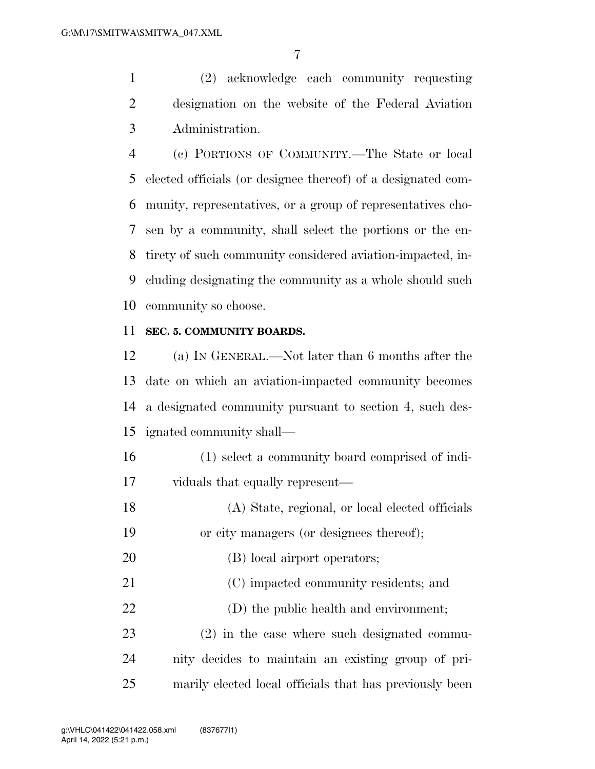(2) acknowledge each community requesting designation on the website of the Federal Aviation Administration.

 (c) PORTIONS OF COMMUNITY.—The State or local elected officials (or designee thereof) of a designated com- munity, representatives, or a group of representatives cho- sen by a community, shall select the portions or the en- tirety of such community considered aviation-impacted, in- cluding designating the community as a whole should such community so choose.

#### **SEC. 5. COMMUNITY BOARDS.**

 (a) IN GENERAL.—Not later than 6 months after the date on which an aviation-impacted community becomes a designated community pursuant to section 4, such des-ignated community shall—

- (1) select a community board comprised of indi-viduals that equally represent—
- (A) State, regional, or local elected officials or city managers (or designees thereof);
- 20 (B) local airport operators;
- (C) impacted community residents; and
- (D) the public health and environment;

 (2) in the case where such designated commu- nity decides to maintain an existing group of pri-marily elected local officials that has previously been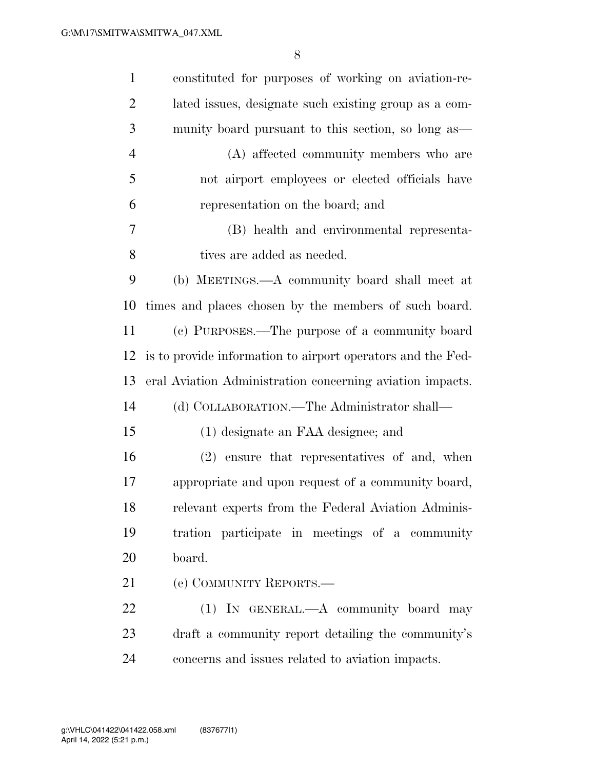| $\mathbf{1}$   | constituted for purposes of working on aviation-re-         |
|----------------|-------------------------------------------------------------|
| $\overline{2}$ | lated issues, designate such existing group as a com-       |
| 3              | munity board pursuant to this section, so long as—          |
| $\overline{4}$ | (A) affected community members who are                      |
| 5              | not airport employees or elected officials have             |
| 6              | representation on the board; and                            |
| 7              | (B) health and environmental representa-                    |
| 8              | tives are added as needed.                                  |
| 9              | (b) MEETINGS.—A community board shall meet at               |
| 10             | times and places chosen by the members of such board.       |
| 11             | (c) PURPOSES.—The purpose of a community board              |
| 12             | is to provide information to airport operators and the Fed- |
| 13             | eral Aviation Administration concerning aviation impacts.   |
| 14             | (d) COLLABORATION.—The Administrator shall—                 |
| 15             | (1) designate an FAA designee; and                          |
| 16             | (2) ensure that representatives of and, when                |
| 17             | appropriate and upon request of a community board,          |
| 18             | relevant experts from the Federal Aviation Adminis-         |
| 19             | tration participate in meetings of a community              |
| 20             | board.                                                      |
| 21             | (e) COMMUNITY REPORTS.—                                     |
| 22             | (1) IN GENERAL.—A community board may                       |
| 23             | draft a community report detailing the community's          |
| 24             | concerns and issues related to aviation impacts.            |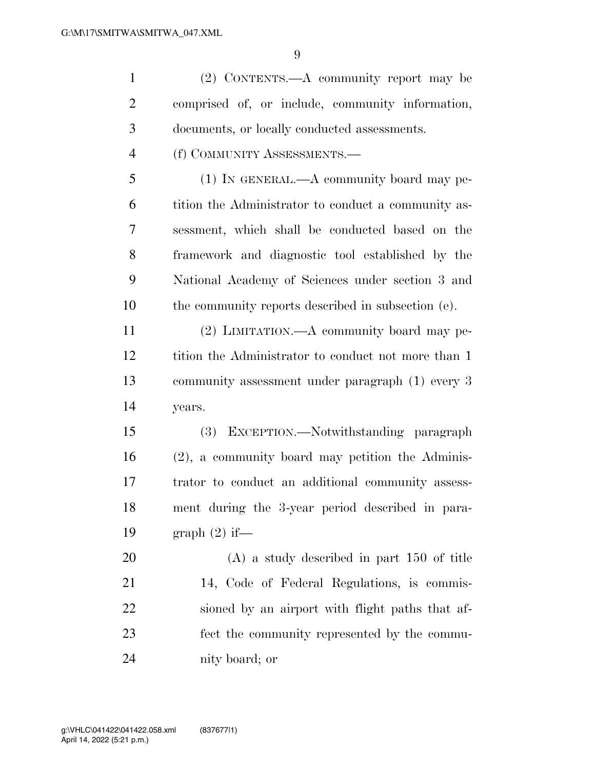| $\mathbf{1}$   | (2) CONTENTS.—A community report may be             |
|----------------|-----------------------------------------------------|
| $\overline{2}$ | comprised of, or include, community information,    |
| 3              | documents, or locally conducted assessments.        |
| $\overline{4}$ | (f) COMMUNITY ASSESSMENTS.-                         |
| 5              | $(1)$ In GENERAL.—A community board may pe-         |
| 6              | tition the Administrator to conduct a community as- |
| 7              | sessment, which shall be conducted based on the     |
| 8              | framework and diagnostic tool established by the    |
| 9              | National Academy of Sciences under section 3 and    |
| 10             | the community reports described in subsection (e).  |
| 11             | (2) LIMITATION.—A community board may pe-           |
| 12             | tition the Administrator to conduct not more than 1 |
| 13             | community assessment under paragraph (1) every 3    |
| 14             | years.                                              |
| 15             | EXCEPTION.—Notwithstanding paragraph<br><b>(3)</b>  |
| 16             | (2), a community board may petition the Adminis-    |
| 17             | trator to conduct an additional community assess-   |
| 18             | ment during the 3-year period described in para-    |
| 19             | graph (2) if—                                       |
| 20             | $(A)$ a study described in part 150 of title        |
| 21             | 14, Code of Federal Regulations, is commis-         |
| 22             | sioned by an airport with flight paths that af-     |
| 23             | fect the community represented by the commu-        |
| 24             | nity board; or                                      |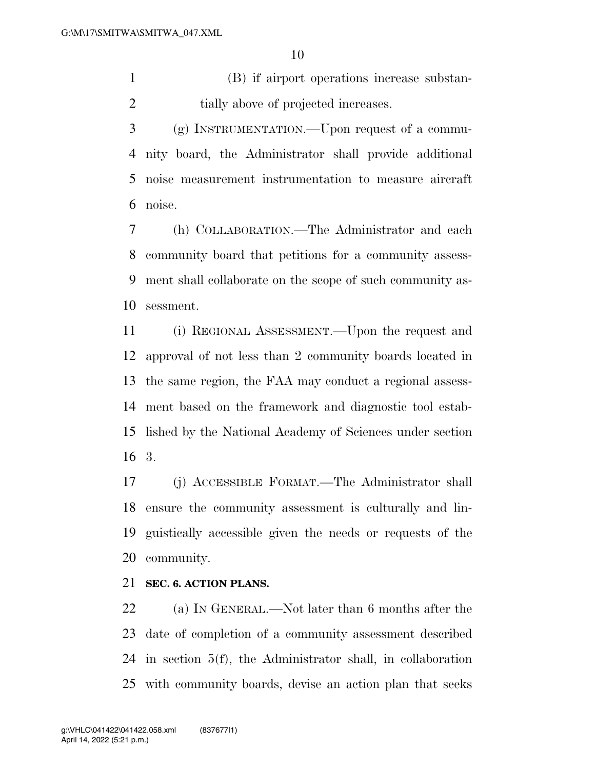(B) if airport operations increase substan-2 tially above of projected increases.

 (g) INSTRUMENTATION.—Upon request of a commu- nity board, the Administrator shall provide additional noise measurement instrumentation to measure aircraft noise.

 (h) COLLABORATION.—The Administrator and each community board that petitions for a community assess- ment shall collaborate on the scope of such community as-sessment.

 (i) REGIONAL ASSESSMENT.—Upon the request and approval of not less than 2 community boards located in the same region, the FAA may conduct a regional assess- ment based on the framework and diagnostic tool estab- lished by the National Academy of Sciences under section 3.

 (j) ACCESSIBLE FORMAT.—The Administrator shall ensure the community assessment is culturally and lin- guistically accessible given the needs or requests of the community.

### **SEC. 6. ACTION PLANS.**

 (a) IN GENERAL.—Not later than 6 months after the date of completion of a community assessment described in section 5(f), the Administrator shall, in collaboration with community boards, devise an action plan that seeks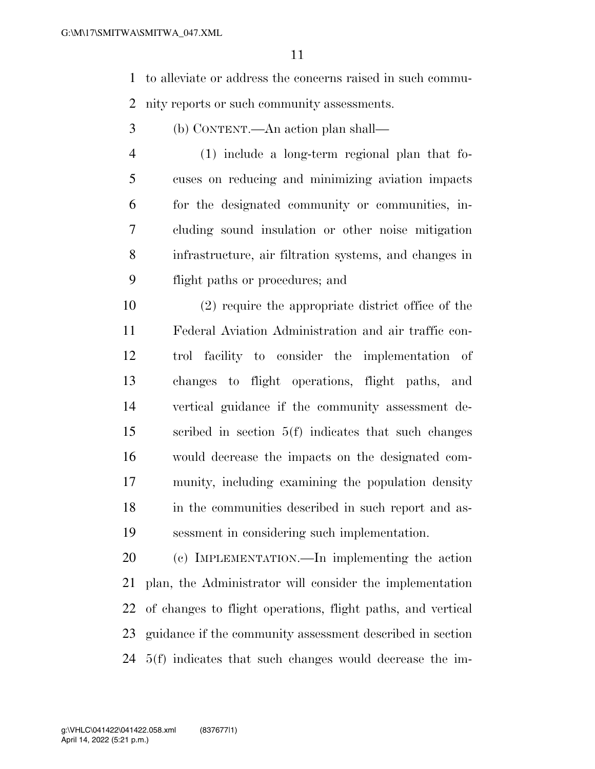to alleviate or address the concerns raised in such commu-nity reports or such community assessments.

- (b) CONTENT.—An action plan shall—
- (1) include a long-term regional plan that fo- cuses on reducing and minimizing aviation impacts for the designated community or communities, in- cluding sound insulation or other noise mitigation infrastructure, air filtration systems, and changes in flight paths or procedures; and

 (2) require the appropriate district office of the Federal Aviation Administration and air traffic con- trol facility to consider the implementation of changes to flight operations, flight paths, and vertical guidance if the community assessment de- scribed in section 5(f) indicates that such changes would decrease the impacts on the designated com- munity, including examining the population density in the communities described in such report and as-sessment in considering such implementation.

 (c) IMPLEMENTATION.—In implementing the action plan, the Administrator will consider the implementation of changes to flight operations, flight paths, and vertical guidance if the community assessment described in section 5(f) indicates that such changes would decrease the im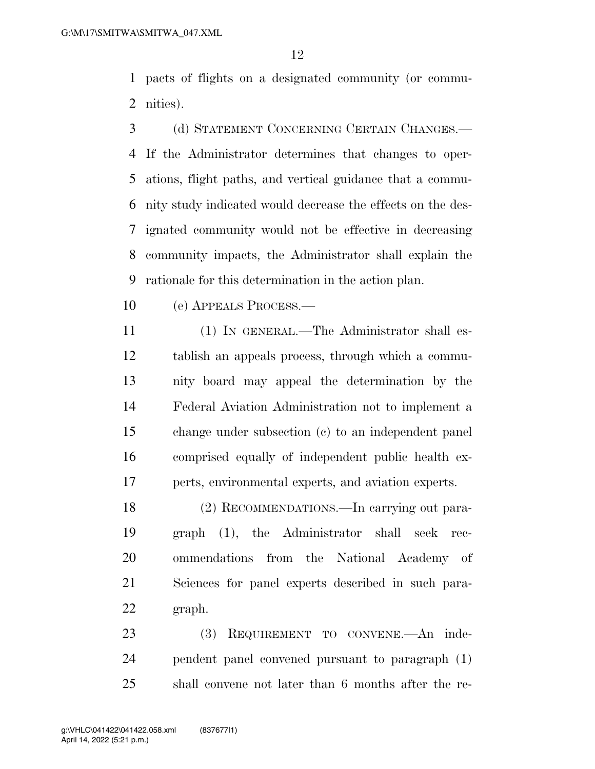pacts of flights on a designated community (or commu-nities).

- (d) STATEMENT CONCERNING CERTAIN CHANGES.— If the Administrator determines that changes to oper- ations, flight paths, and vertical guidance that a commu- nity study indicated would decrease the effects on the des- ignated community would not be effective in decreasing community impacts, the Administrator shall explain the rationale for this determination in the action plan.
- (e) APPEALS PROCESS.—
- (1) IN GENERAL.—The Administrator shall es- tablish an appeals process, through which a commu- nity board may appeal the determination by the Federal Aviation Administration not to implement a change under subsection (c) to an independent panel comprised equally of independent public health ex-perts, environmental experts, and aviation experts.
- (2) RECOMMENDATIONS.—In carrying out para- graph (1), the Administrator shall seek rec- ommendations from the National Academy of Sciences for panel experts described in such para-graph.
- (3) REQUIREMENT TO CONVENE.—An inde- pendent panel convened pursuant to paragraph (1) shall convene not later than 6 months after the re-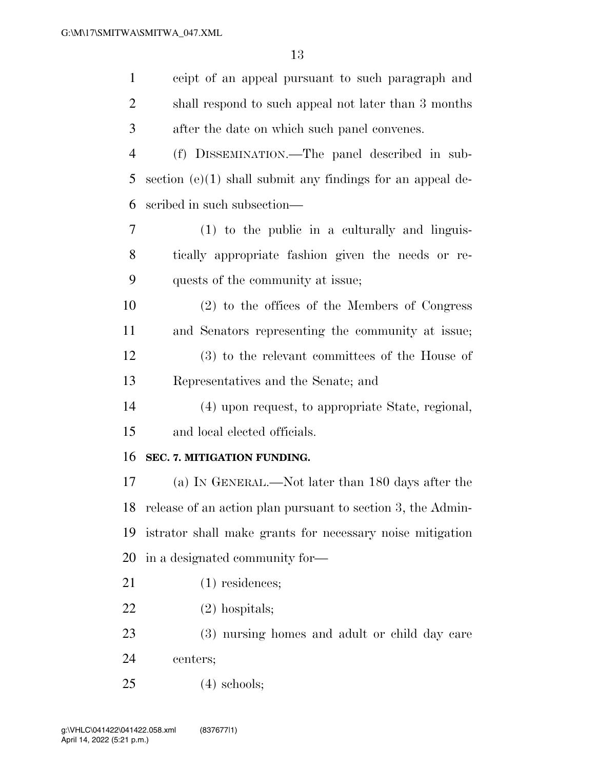| $\mathbf{1}$   | ceipt of an appeal pursuant to such paragraph and            |
|----------------|--------------------------------------------------------------|
| $\overline{2}$ | shall respond to such appeal not later than 3 months         |
| 3              | after the date on which such panel convenes.                 |
| $\overline{4}$ | (f) DISSEMINATION.—The panel described in sub-               |
| 5              | section $(e)(1)$ shall submit any findings for an appeal de- |
| 6              | scribed in such subsection—                                  |
| 7              | (1) to the public in a culturally and linguis-               |
| 8              | tically appropriate fashion given the needs or re-           |
| 9              | quests of the community at issue;                            |
| 10             | $(2)$ to the offices of the Members of Congress              |
| 11             | and Senators representing the community at issue;            |
| 12             | (3) to the relevant committees of the House of               |
| 13             | Representatives and the Senate; and                          |
| 14             | (4) upon request, to appropriate State, regional,            |
| 15             | and local elected officials.                                 |
| 16             | SEC. 7. MITIGATION FUNDING.                                  |
| 17             | (a) IN GENERAL.—Not later than 180 days after the            |
| 18             | release of an action plan pursuant to section 3, the Admin-  |
| 19             | istrator shall make grants for necessary noise mitigation    |
| 20             | in a designated community for—                               |
| 21             | $(1)$ residences;                                            |
| 22             | $(2)$ hospitals;                                             |
| 23             | (3) nursing homes and adult or child day care                |
| 24             | centers;                                                     |
| 25             | $(4)$ schools;                                               |
|                |                                                              |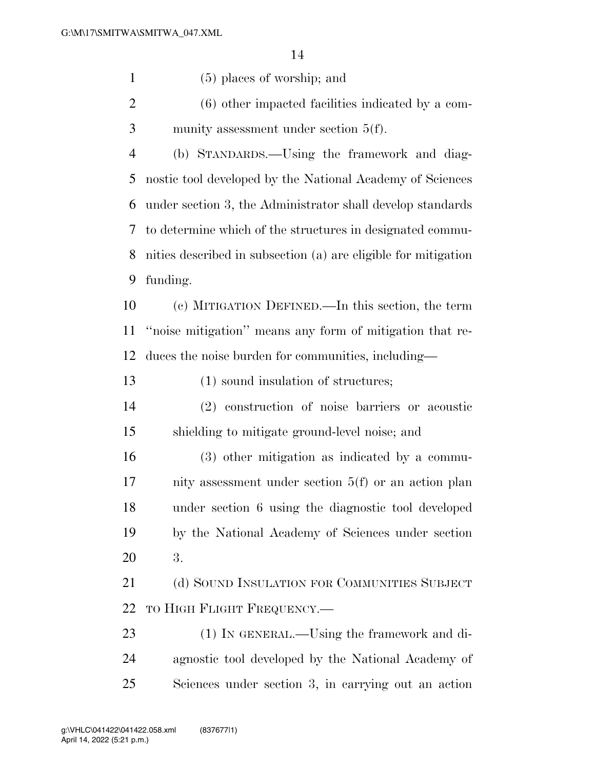(5) places of worship; and (6) other impacted facilities indicated by a com- munity assessment under section 5(f). (b) STANDARDS.—Using the framework and diag- nostic tool developed by the National Academy of Sciences under section 3, the Administrator shall develop standards to determine which of the structures in designated commu- nities described in subsection (a) are eligible for mitigation funding. (c) MITIGATION DEFINED.—In this section, the term ''noise mitigation'' means any form of mitigation that re- duces the noise burden for communities, including— 13 (1) sound insulation of structures; (2) construction of noise barriers or acoustic shielding to mitigate ground-level noise; and (3) other mitigation as indicated by a commu- nity assessment under section 5(f) or an action plan under section 6 using the diagnostic tool developed by the National Academy of Sciences under section 3. 21 (d) SOUND INSULATION FOR COMMUNITIES SUBJECT 22 TO HIGH FLIGHT FREQUENCY. (1) IN GENERAL.—Using the framework and di- agnostic tool developed by the National Academy of Sciences under section 3, in carrying out an action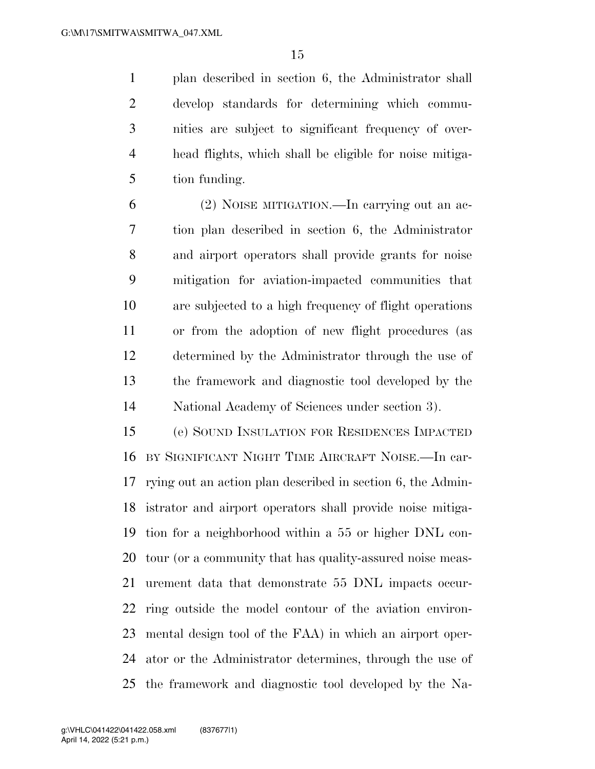plan described in section 6, the Administrator shall develop standards for determining which commu- nities are subject to significant frequency of over- head flights, which shall be eligible for noise mitiga-tion funding.

 (2) NOISE MITIGATION.—In carrying out an ac- tion plan described in section 6, the Administrator and airport operators shall provide grants for noise mitigation for aviation-impacted communities that are subjected to a high frequency of flight operations or from the adoption of new flight procedures (as determined by the Administrator through the use of the framework and diagnostic tool developed by the National Academy of Sciences under section 3).

 (e) SOUND INSULATION FOR RESIDENCES IMPACTED BY SIGNIFICANT NIGHT TIME AIRCRAFT NOISE.—In car- rying out an action plan described in section 6, the Admin- istrator and airport operators shall provide noise mitiga- tion for a neighborhood within a 55 or higher DNL con- tour (or a community that has quality-assured noise meas- urement data that demonstrate 55 DNL impacts occur- ring outside the model contour of the aviation environ- mental design tool of the FAA) in which an airport oper- ator or the Administrator determines, through the use of the framework and diagnostic tool developed by the Na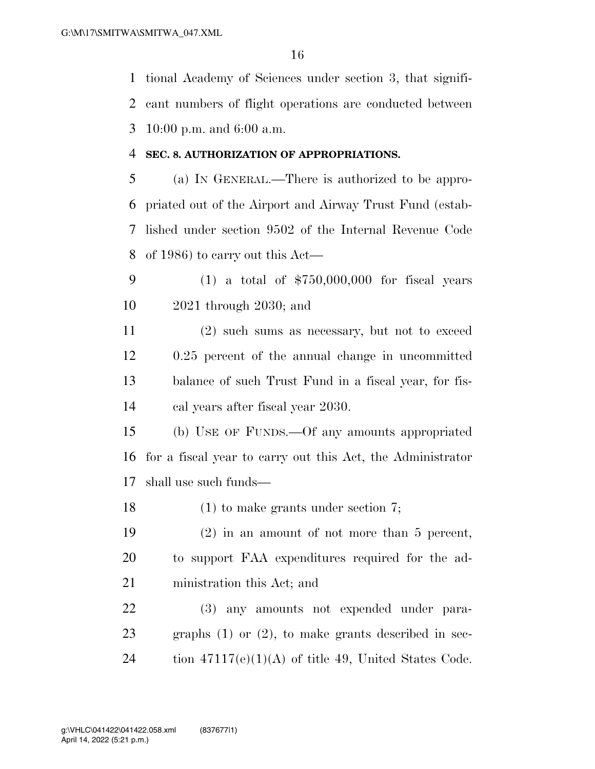tional Academy of Sciences under section 3, that signifi- cant numbers of flight operations are conducted between 10:00 p.m. and 6:00 a.m.

#### **SEC. 8. AUTHORIZATION OF APPROPRIATIONS.**

 (a) IN GENERAL.—There is authorized to be appro- priated out of the Airport and Airway Trust Fund (estab- lished under section 9502 of the Internal Revenue Code of 1986) to carry out this Act—

 (1) a total of \$750,000,000 for fiscal years 2021 through 2030; and

 (2) such sums as necessary, but not to exceed 0.25 percent of the annual change in uncommitted balance of such Trust Fund in a fiscal year, for fis-cal years after fiscal year 2030.

 (b) USE OF FUNDS.—Of any amounts appropriated for a fiscal year to carry out this Act, the Administrator shall use such funds—

18 (1) to make grants under section 7;

 (2) in an amount of not more than 5 percent, to support FAA expenditures required for the ad-ministration this Act; and

 (3) any amounts not expended under para- graphs (1) or (2), to make grants described in sec-24 tion  $47117(e)(1)(A)$  of title 49, United States Code.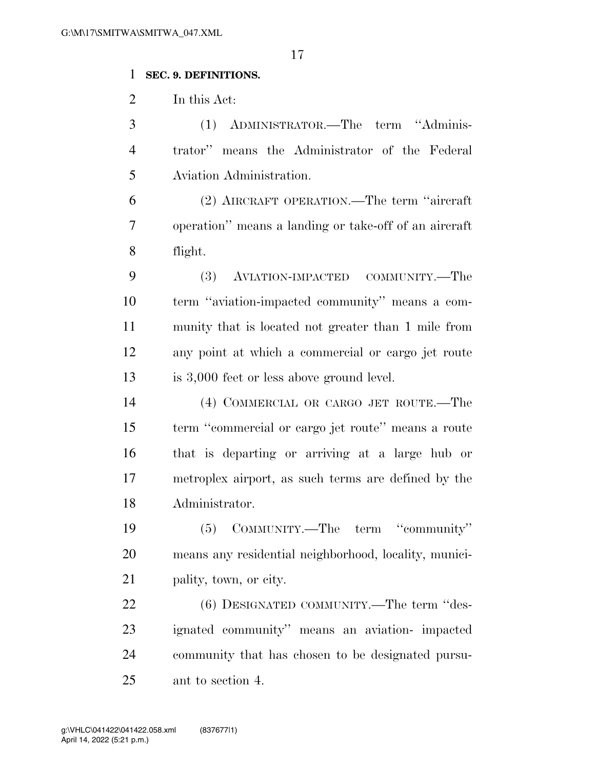### **SEC. 9. DEFINITIONS.**

In this Act:

 (1) ADMINISTRATOR.—The term ''Adminis- trator'' means the Administrator of the Federal Aviation Administration.

 (2) AIRCRAFT OPERATION.—The term ''aircraft operation'' means a landing or take-off of an aircraft flight.

 (3) AVIATION-IMPACTED COMMUNITY.—The term ''aviation-impacted community'' means a com- munity that is located not greater than 1 mile from any point at which a commercial or cargo jet route is 3,000 feet or less above ground level.

 (4) COMMERCIAL OR CARGO JET ROUTE.—The term ''commercial or cargo jet route'' means a route that is departing or arriving at a large hub or metroplex airport, as such terms are defined by the Administrator.

 (5) COMMUNITY.—The term ''community'' means any residential neighborhood, locality, munici-pality, town, or city.

22 (6) DESIGNATED COMMUNITY.—The term "des- ignated community'' means an aviation- impacted community that has chosen to be designated pursu-ant to section 4.